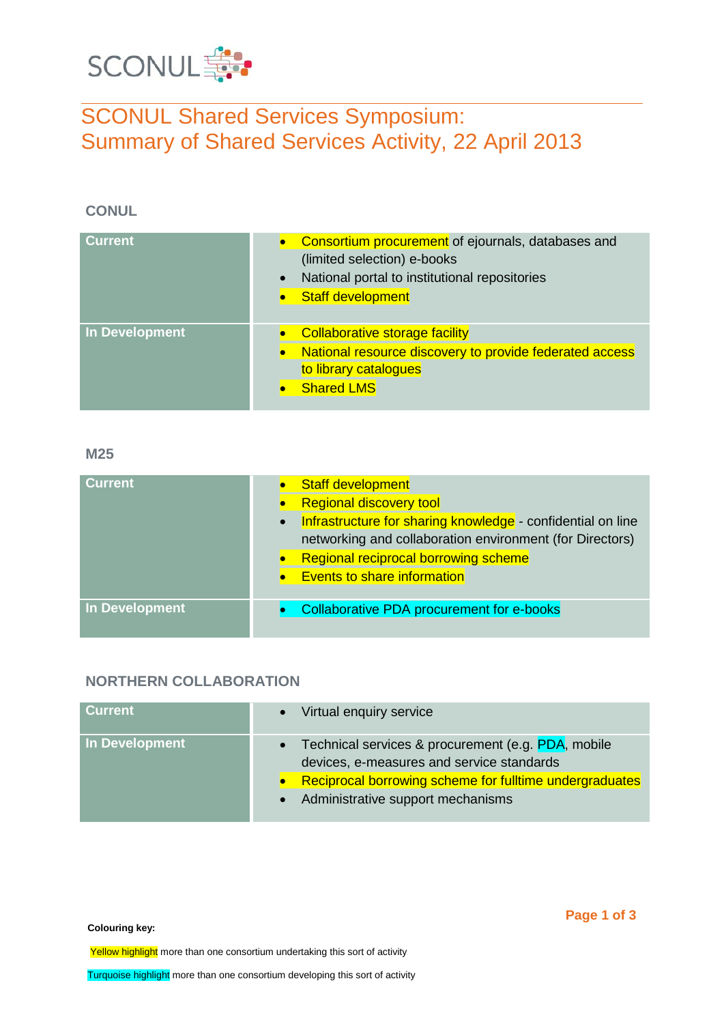

# SCONUL Shared Services Symposium: Summary of Shared Services Activity, 22 April 2013

## **CONUL**

| <b>Current</b> | Consortium procurement of ejournals, databases and<br>(limited selection) e-books<br>National portal to institutional repositories<br>$\bullet$<br><b>Staff development</b> |
|----------------|-----------------------------------------------------------------------------------------------------------------------------------------------------------------------------|
| In Development | <b>Collaborative storage facility</b><br>National resource discovery to provide federated access<br>$\bullet$<br>to library catalogues<br><b>Shared LMS</b>                 |

#### **M25**

| <b>Current</b> | <b>Staff development</b><br><b>Regional discovery tool</b><br>Infrastructure for sharing knowledge - confidential on line<br>$\bullet$<br>networking and collaboration environment (for Directors)<br><b>Regional reciprocal borrowing scheme</b><br><b>Events to share information</b> |
|----------------|-----------------------------------------------------------------------------------------------------------------------------------------------------------------------------------------------------------------------------------------------------------------------------------------|
| In Development | Collaborative PDA procurement for e-books                                                                                                                                                                                                                                               |

## **NORTHERN COLLABORATION**

| <b>Current</b> | Virtual enquiry service<br>$\bullet$                                                                         |
|----------------|--------------------------------------------------------------------------------------------------------------|
| In Development | Technical services & procurement (e.g. PDA, mobile<br>$\bullet$<br>devices, e-measures and service standards |
|                | Reciprocal borrowing scheme for fulltime undergraduates                                                      |
|                | • Administrative support mechanisms                                                                          |

**Colouring key:**

Yellow highlight more than one consortium undertaking this sort of activity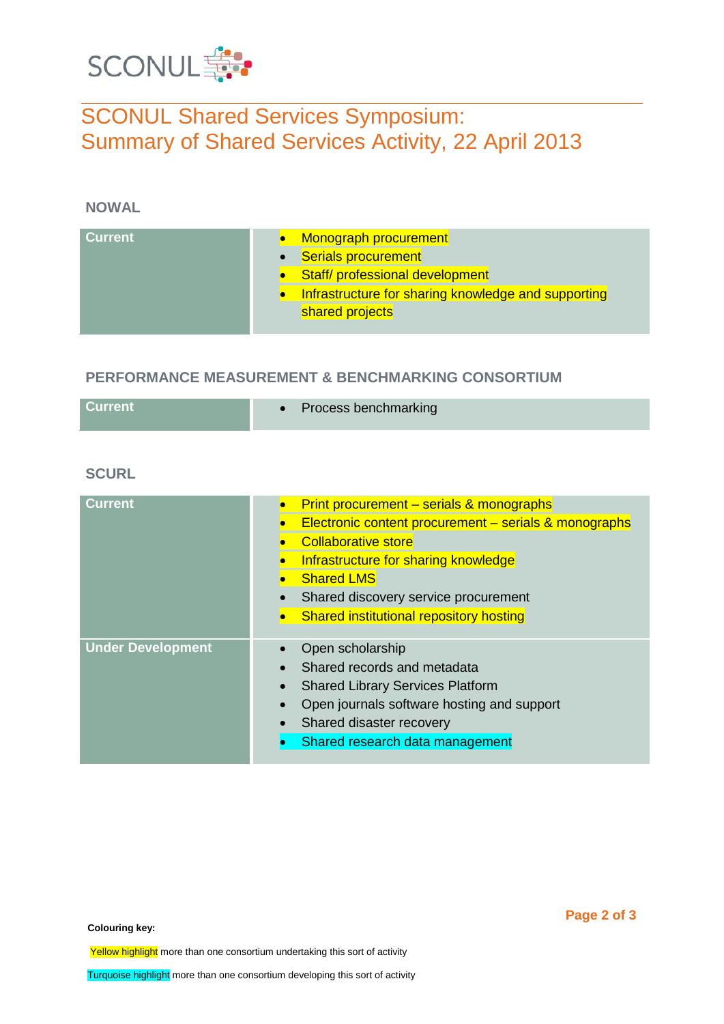

# SCONUL Shared Services Symposium: Summary of Shared Services Activity, 22 April 2013

## **NOWAL**

| <b>Current</b><br>Monograph procurement<br><b>Serials procurement</b><br>$\bullet$<br>Staff/ professional development<br>Infrastructure for sharing knowledge and supporting<br>shared projects |  |
|-------------------------------------------------------------------------------------------------------------------------------------------------------------------------------------------------|--|
|-------------------------------------------------------------------------------------------------------------------------------------------------------------------------------------------------|--|

## **PERFORMANCE MEASUREMENT & BENCHMARKING CONSORTIUM**

| Current | • Process benchmarking |
|---------|------------------------|
|         |                        |

## **SCURL**

| <b>Current</b>           | Print procurement – serials & monographs<br>Electronic content procurement - serials & monographs<br><b>Collaborative store</b><br>Infrastructure for sharing knowledge<br><b>Shared LMS</b><br>Shared discovery service procurement<br><b>Shared institutional repository hosting</b> |
|--------------------------|----------------------------------------------------------------------------------------------------------------------------------------------------------------------------------------------------------------------------------------------------------------------------------------|
| <b>Under Development</b> | Open scholarship<br>Shared records and metadata<br><b>Shared Library Services Platform</b><br>Open journals software hosting and support<br>Shared disaster recovery<br>Shared research data management                                                                                |

**Colouring key:**

Yellow highlight more than one consortium undertaking this sort of activity